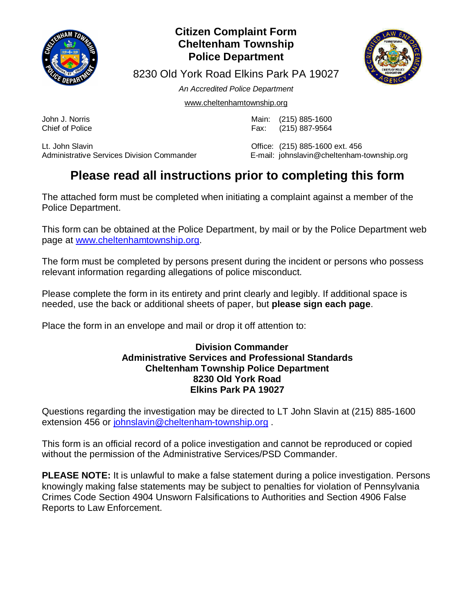

### **Citizen Complaint Form Cheltenham Township Police Department**



8230 Old York Road Elkins Park PA 19027

*An Accredited Police Department*

www.cheltenhamtownship.org

John J. Norris Main: (215) 885-1600 Fax: (215) 887-9564

Lt. John Slavin<br>Administrative Services Division Commander <br>E-mail: iohnslavin@cheltenham-<br>E-mail: iohnslavin@cheltenham-

E-mail: johnslavin@cheltenham-township.org

## **Please read all instructions prior to completing this form**

The attached form must be completed when initiating a complaint against a member of the Police Department.

This form can be obtained at the Police Department, by mail or by the Police Department web page at www.cheltenhamtownship.org.

The form must be completed by persons present during the incident or persons who possess relevant information regarding allegations of police misconduct.

Please complete the form in its entirety and print clearly and legibly. If additional space is needed, use the back or additional sheets of paper, but **please sign each page**.

Place the form in an envelope and mail or drop it off attention to:

#### **Division Commander Administrative Services and Professional Standards Cheltenham Township Police Department 8230 Old York Road Elkins Park PA 19027**

Questions regarding the investigation may be directed to LT John Slavin at (215) 885-1600 extension 456 or johnslavin@cheltenham-township.org .

This form is an official record of a police investigation and cannot be reproduced or copied without the permission of the Administrative Services/PSD Commander.

**PLEASE NOTE:** It is unlawful to make a false statement during a police investigation. Persons knowingly making false statements may be subject to penalties for violation of Pennsylvania Crimes Code Section 4904 Unsworn Falsifications to Authorities and Section 4906 False Reports to Law Enforcement.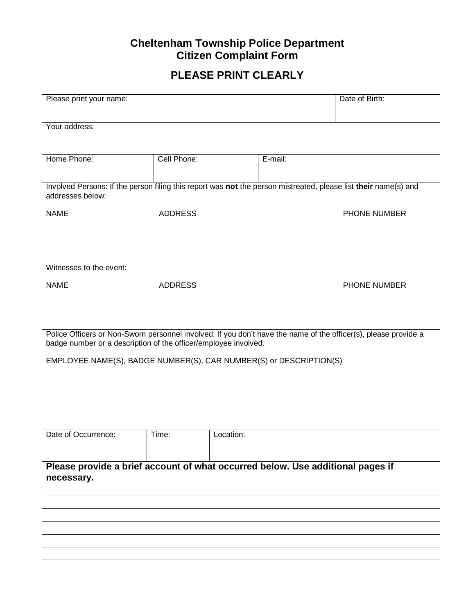### **Cheltenham Township Police Department Citizen Complaint Form**

### **PLEASE PRINT CLEARLY**

| Please print your name:                                                                                                                                                            |                | Date of Birth: |  |  |  |
|------------------------------------------------------------------------------------------------------------------------------------------------------------------------------------|----------------|----------------|--|--|--|
| Your address:                                                                                                                                                                      |                |                |  |  |  |
| Home Phone:                                                                                                                                                                        | Cell Phone:    | E-mail:        |  |  |  |
| Involved Persons: If the person filing this report was not the person mistreated, please list their name(s) and<br>addresses below:                                                |                |                |  |  |  |
| <b>NAME</b>                                                                                                                                                                        | <b>ADDRESS</b> | PHONE NUMBER   |  |  |  |
|                                                                                                                                                                                    |                |                |  |  |  |
| Witnesses to the event:                                                                                                                                                            |                |                |  |  |  |
| <b>NAME</b>                                                                                                                                                                        | <b>ADDRESS</b> | PHONE NUMBER   |  |  |  |
|                                                                                                                                                                                    |                |                |  |  |  |
| Police Officers or Non-Sworn personnel involved: If you don't have the name of the officer(s), please provide a<br>badge number or a description of the officer/employee involved. |                |                |  |  |  |
| EMPLOYEE NAME(S), BADGE NUMBER(S), CAR NUMBER(S) or DESCRIPTION(S)                                                                                                                 |                |                |  |  |  |
|                                                                                                                                                                                    |                |                |  |  |  |
|                                                                                                                                                                                    |                |                |  |  |  |
| Date of Occurrence:                                                                                                                                                                | Time:          | Location:      |  |  |  |
| Please provide a brief account of what occurred below. Use additional pages if                                                                                                     |                |                |  |  |  |
| necessary.                                                                                                                                                                         |                |                |  |  |  |
|                                                                                                                                                                                    |                |                |  |  |  |
|                                                                                                                                                                                    |                |                |  |  |  |
|                                                                                                                                                                                    |                |                |  |  |  |
|                                                                                                                                                                                    |                |                |  |  |  |
|                                                                                                                                                                                    |                |                |  |  |  |